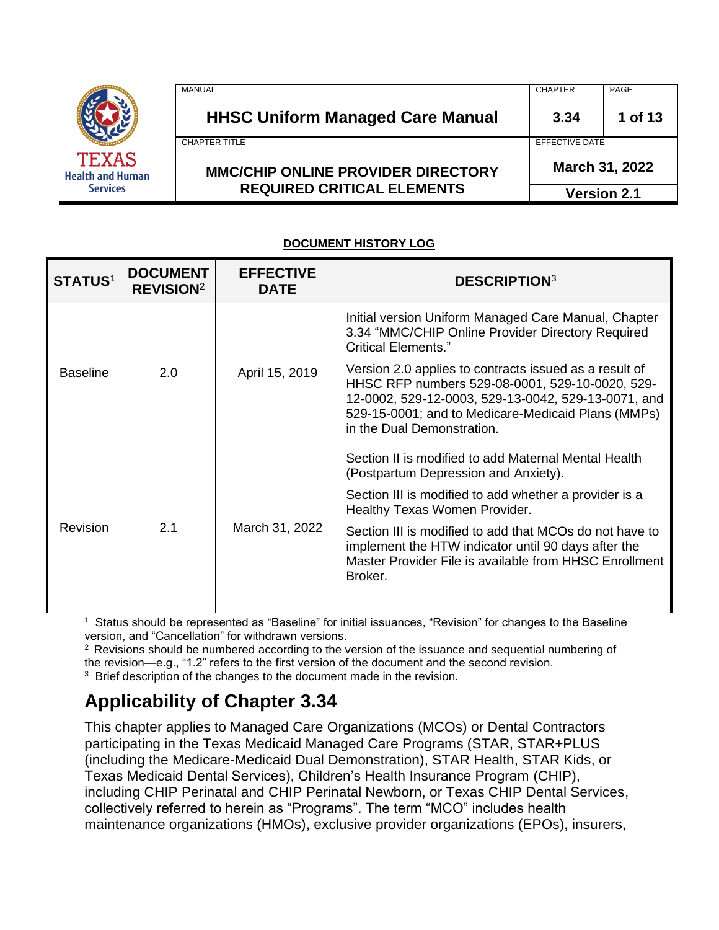|                                         | MANUAL                                    | <b>CHAPTER</b> | PAGE               |
|-----------------------------------------|-------------------------------------------|----------------|--------------------|
|                                         | <b>HHSC Uniform Managed Care Manual</b>   | 3.34           | 1 of 13            |
|                                         | <b>CHAPTER TITLE</b>                      | EFFECTIVE DATE |                    |
| <b>TEXAS</b><br><b>Health and Human</b> | <b>MMC/CHIP ONLINE PROVIDER DIRECTORY</b> |                | March 31, 2022     |
| <b>Services</b>                         | <b>REQUIRED CRITICAL ELEMENTS</b>         |                | <b>Version 2.1</b> |

#### **DOCUMENT HISTORY LOG**

| <b>DOCUMENT</b><br><b>REVISION</b> <sup>2</sup> | <b>EFFECTIVE</b><br><b>DATE</b> | <b>DESCRIPTION3</b>                                                                                                                                                                                                                                  |                                                                                                                                                        |
|-------------------------------------------------|---------------------------------|------------------------------------------------------------------------------------------------------------------------------------------------------------------------------------------------------------------------------------------------------|--------------------------------------------------------------------------------------------------------------------------------------------------------|
|                                                 |                                 | Initial version Uniform Managed Care Manual, Chapter<br>3.34 "MMC/CHIP Online Provider Directory Required<br><b>Critical Elements."</b>                                                                                                              |                                                                                                                                                        |
| 2.0                                             | April 15, 2019                  | Version 2.0 applies to contracts issued as a result of<br>HHSC RFP numbers 529-08-0001, 529-10-0020, 529-<br>12-0002, 529-12-0003, 529-13-0042, 529-13-0071, and<br>529-15-0001; and to Medicare-Medicaid Plans (MMPs)<br>in the Dual Demonstration. |                                                                                                                                                        |
|                                                 |                                 |                                                                                                                                                                                                                                                      | Section II is modified to add Maternal Mental Health<br>(Postpartum Depression and Anxiety).<br>Section III is modified to add whether a provider is a |
|                                                 |                                 |                                                                                                                                                                                                                                                      | Healthy Texas Women Provider.                                                                                                                          |
| 2.1                                             | March 31, 2022                  | Section III is modified to add that MCOs do not have to<br>implement the HTW indicator until 90 days after the<br>Master Provider File is available from HHSC Enrollment<br>Broker.                                                                  |                                                                                                                                                        |
|                                                 |                                 |                                                                                                                                                                                                                                                      |                                                                                                                                                        |

1 Status should be represented as "Baseline" for initial issuances, "Revision" for changes to the Baseline version, and "Cancellation" for withdrawn versions.

 $2$  Revisions should be numbered according to the version of the issuance and sequential numbering of the revision—e.g., "1.2" refers to the first version of the document and the second revision.

<sup>3</sup> Brief description of the changes to the document made in the revision.

# **Applicability of Chapter 3.34**

This chapter applies to Managed Care Organizations (MCOs) or Dental Contractors participating in the Texas Medicaid Managed Care Programs (STAR, STAR+PLUS (including the Medicare-Medicaid Dual Demonstration), STAR Health, STAR Kids, or Texas Medicaid Dental Services), Children's Health Insurance Program (CHIP), including CHIP Perinatal and CHIP Perinatal Newborn, or Texas CHIP Dental Services, collectively referred to herein as "Programs". The term "MCO" includes health maintenance organizations (HMOs), exclusive provider organizations (EPOs), insurers,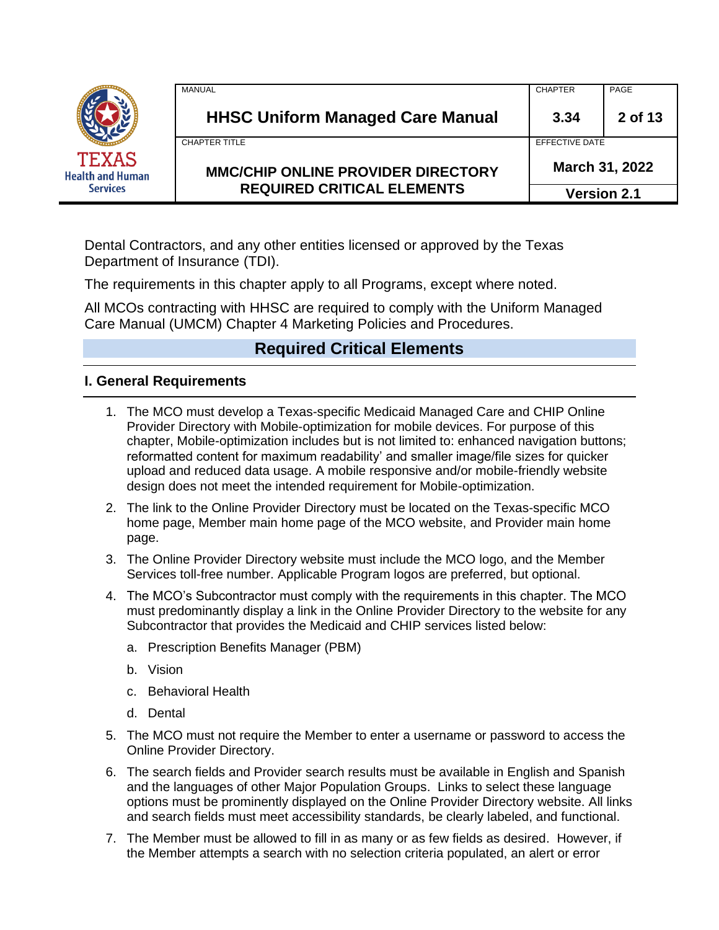|                                         | MANUAL                                    | <b>CHAPTER</b>     | PAGE    |
|-----------------------------------------|-------------------------------------------|--------------------|---------|
|                                         | <b>HHSC Uniform Managed Care Manual</b>   | 3.34               | 2 of 13 |
|                                         | <b>CHAPTER TITLE</b>                      | EFFECTIVE DATE     |         |
| <b>TEXAS</b><br><b>Health and Human</b> | <b>MMC/CHIP ONLINE PROVIDER DIRECTORY</b> | March 31, 2022     |         |
| <b>Services</b>                         | <b>REQUIRED CRITICAL ELEMENTS</b>         | <b>Version 2.1</b> |         |

Dental Contractors, and any other entities licensed or approved by the Texas Department of Insurance (TDI).

The requirements in this chapter apply to all Programs, except where noted.

All MCOs contracting with HHSC are required to comply with the Uniform Managed Care Manual (UMCM) Chapter 4 Marketing Policies and Procedures.

# **Required Critical Elements**

### **I. General Requirements**

- 1. The MCO must develop a Texas-specific Medicaid Managed Care and CHIP Online Provider Directory with Mobile-optimization for mobile devices. For purpose of this chapter, Mobile-optimization includes but is not limited to: enhanced navigation buttons; reformatted content for maximum readability' and smaller image/file sizes for quicker upload and reduced data usage. A mobile responsive and/or mobile-friendly website design does not meet the intended requirement for Mobile-optimization.
- 2. The link to the Online Provider Directory must be located on the Texas-specific MCO home page, Member main home page of the MCO website, and Provider main home page.
- 3. The Online Provider Directory website must include the MCO logo, and the Member Services toll-free number. Applicable Program logos are preferred, but optional.
- 4. The MCO's Subcontractor must comply with the requirements in this chapter. The MCO must predominantly display a link in the Online Provider Directory to the website for any Subcontractor that provides the Medicaid and CHIP services listed below:
	- a. Prescription Benefits Manager (PBM)
	- b. Vision
	- c. Behavioral Health
	- d. Dental
- 5. The MCO must not require the Member to enter a username or password to access the Online Provider Directory.
- 6. The search fields and Provider search results must be available in English and Spanish and the languages of other Major Population Groups. Links to select these language options must be prominently displayed on the Online Provider Directory website. All links and search fields must meet accessibility standards, be clearly labeled, and functional.
- 7. The Member must be allowed to fill in as many or as few fields as desired. However, if the Member attempts a search with no selection criteria populated, an alert or error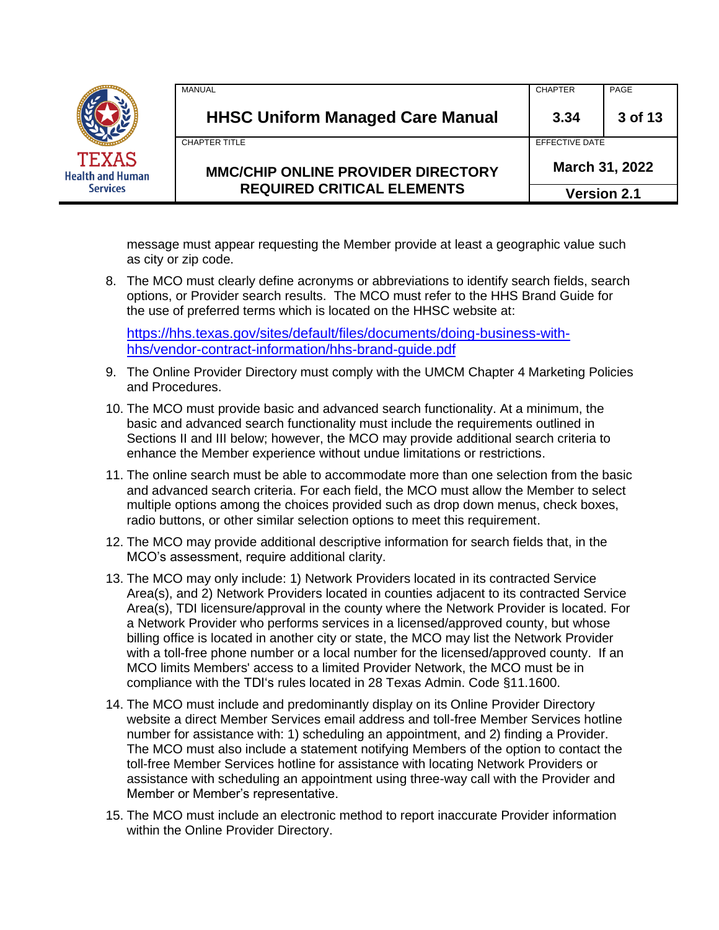|                                         | MANUAL                                    | <b>CHAPTER</b>     | PAGE    |
|-----------------------------------------|-------------------------------------------|--------------------|---------|
|                                         | <b>HHSC Uniform Managed Care Manual</b>   | 3.34               | 3 of 13 |
|                                         | <b>CHAPTER TITLE</b>                      | EFFECTIVE DATE     |         |
| <b>TEXAS</b><br><b>Health and Human</b> | <b>MMC/CHIP ONLINE PROVIDER DIRECTORY</b> | March 31, 2022     |         |
| <b>Services</b>                         | <b>REQUIRED CRITICAL ELEMENTS</b>         | <b>Version 2.1</b> |         |

message must appear requesting the Member provide at least a geographic value such as city or zip code.

8. The MCO must clearly define acronyms or abbreviations to identify search fields, search options, or Provider search results. The MCO must refer to the HHS Brand Guide for the use of preferred terms which is located on the HHSC website at:

[https://hhs.texas.gov/sites/default/files/documents/doing-business-with](https://hhs.texas.gov/sites/default/files/documents/doing-business-with-hhs/vendor-contract-information/hhs-brand-guide.pdf)[hhs/vendor-contract-information/hhs-brand-guide.pdf](https://hhs.texas.gov/sites/default/files/documents/doing-business-with-hhs/vendor-contract-information/hhs-brand-guide.pdf)

- 9. The Online Provider Directory must comply with the UMCM Chapter 4 Marketing Policies and Procedures.
- 10. The MCO must provide basic and advanced search functionality. At a minimum, the basic and advanced search functionality must include the requirements outlined in Sections II and III below; however, the MCO may provide additional search criteria to enhance the Member experience without undue limitations or restrictions.
- 11. The online search must be able to accommodate more than one selection from the basic and advanced search criteria. For each field, the MCO must allow the Member to select multiple options among the choices provided such as drop down menus, check boxes, radio buttons, or other similar selection options to meet this requirement.
- 12. The MCO may provide additional descriptive information for search fields that, in the MCO's assessment, require additional clarity.
- 13. The MCO may only include: 1) Network Providers located in its contracted Service Area(s), and 2) Network Providers located in counties adjacent to its contracted Service Area(s), TDI licensure/approval in the county where the Network Provider is located. For a Network Provider who performs services in a licensed/approved county, but whose billing office is located in another city or state, the MCO may list the Network Provider with a toll-free phone number or a local number for the licensed/approved county. If an MCO limits Members' access to a limited Provider Network, the MCO must be in compliance with the TDI's rules located in 28 Texas Admin. Code §11.1600.
- 14. The MCO must include and predominantly display on its Online Provider Directory website a direct Member Services email address and toll-free Member Services hotline number for assistance with: 1) scheduling an appointment, and 2) finding a Provider. The MCO must also include a statement notifying Members of the option to contact the toll-free Member Services hotline for assistance with locating Network Providers or assistance with scheduling an appointment using three-way call with the Provider and Member or Member's representative.
- 15. The MCO must include an electronic method to report inaccurate Provider information within the Online Provider Directory.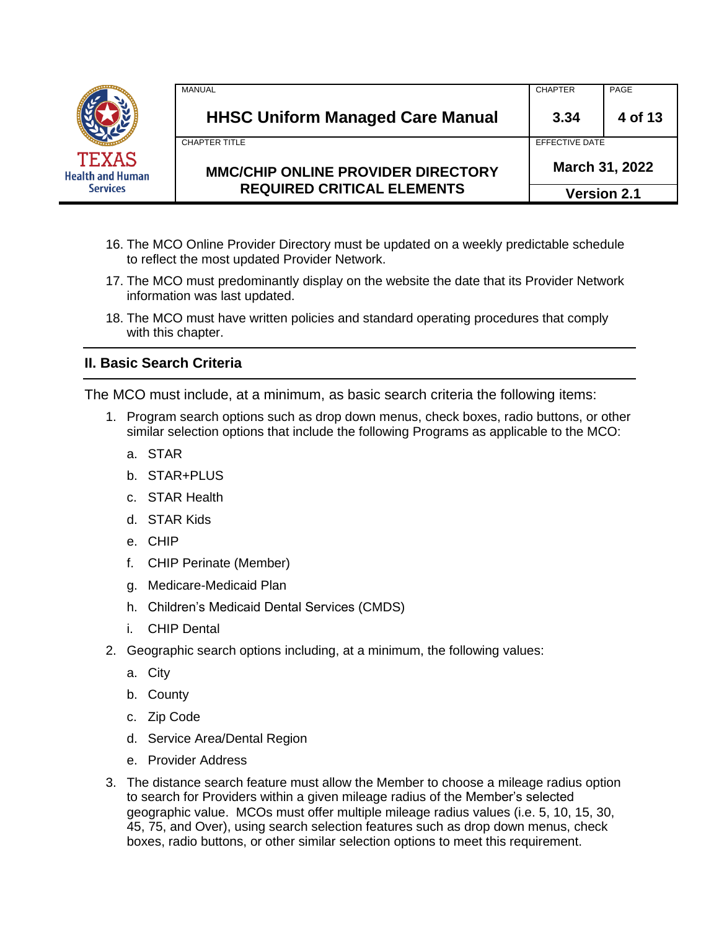|                                         | MANUAL                                    | <b>CHAPTER</b> | PAGE               |
|-----------------------------------------|-------------------------------------------|----------------|--------------------|
|                                         | <b>HHSC Uniform Managed Care Manual</b>   | 3.34           | 4 of 13            |
|                                         | <b>CHAPTER TITLE</b>                      | EFFECTIVE DATE |                    |
| <b>TEXAS</b><br><b>Health and Human</b> | <b>MMC/CHIP ONLINE PROVIDER DIRECTORY</b> |                | March 31, 2022     |
| <b>Services</b>                         | <b>REQUIRED CRITICAL ELEMENTS</b>         |                | <b>Version 2.1</b> |

- 16. The MCO Online Provider Directory must be updated on a weekly predictable schedule to reflect the most updated Provider Network.
- 17. The MCO must predominantly display on the website the date that its Provider Network information was last updated.
- 18. The MCO must have written policies and standard operating procedures that comply with this chapter.

### **II. Basic Search Criteria**

The MCO must include, at a minimum, as basic search criteria the following items:

- 1. Program search options such as drop down menus, check boxes, radio buttons, or other similar selection options that include the following Programs as applicable to the MCO:
	- a. STAR
	- b. STAR+PLUS
	- c. STAR Health
	- d. STAR Kids
	- e. CHIP
	- f. CHIP Perinate (Member)
	- g. Medicare-Medicaid Plan
	- h. Children's Medicaid Dental Services (CMDS)
	- i. CHIP Dental
- 2. Geographic search options including, at a minimum, the following values:
	- a. City
	- b. County
	- c. Zip Code
	- d. Service Area/Dental Region
	- e. Provider Address
- 3. The distance search feature must allow the Member to choose a mileage radius option to search for Providers within a given mileage radius of the Member's selected geographic value. MCOs must offer multiple mileage radius values (i.e. 5, 10, 15, 30, 45, 75, and Over), using search selection features such as drop down menus, check boxes, radio buttons, or other similar selection options to meet this requirement.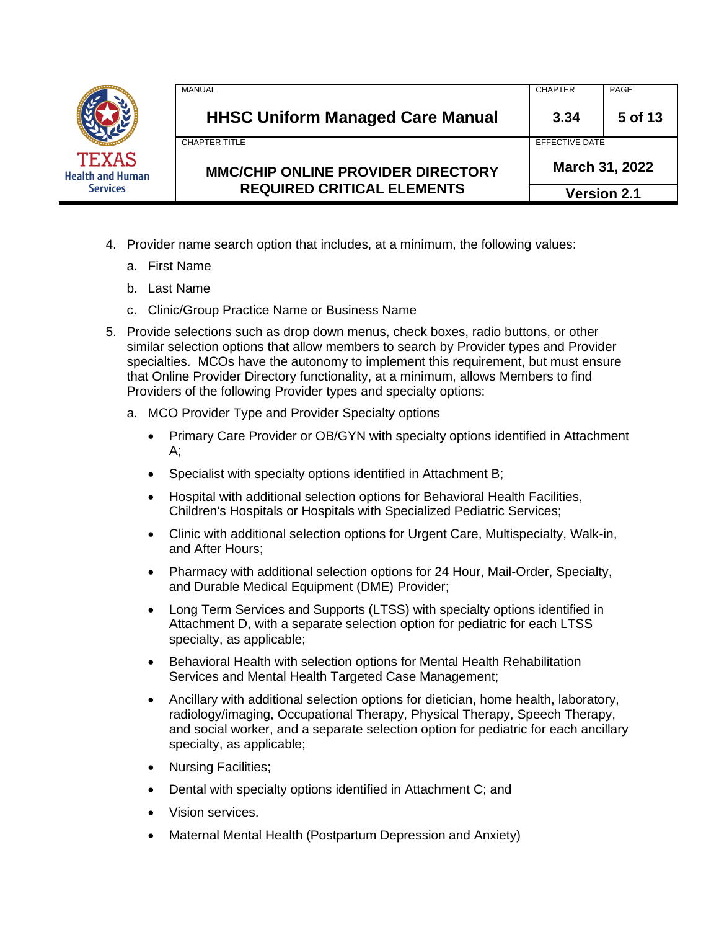|                                         | MANUAL                                    | <b>CHAPTER</b>     | PAGE           |
|-----------------------------------------|-------------------------------------------|--------------------|----------------|
|                                         | <b>HHSC Uniform Managed Care Manual</b>   | 3.34               | 5 of 13        |
|                                         | CHAPTER TITLE                             | EFFECTIVE DATE     |                |
| <b>TEXAS</b><br><b>Health and Human</b> | <b>MMC/CHIP ONLINE PROVIDER DIRECTORY</b> |                    | March 31, 2022 |
| <b>Services</b>                         | <b>REQUIRED CRITICAL ELEMENTS</b>         | <b>Version 2.1</b> |                |

- 4. Provider name search option that includes, at a minimum, the following values:
	- a. First Name
	- b. Last Name
	- c. Clinic/Group Practice Name or Business Name
- 5. Provide selections such as drop down menus, check boxes, radio buttons, or other similar selection options that allow members to search by Provider types and Provider specialties. MCOs have the autonomy to implement this requirement, but must ensure that Online Provider Directory functionality, at a minimum, allows Members to find Providers of the following Provider types and specialty options:
	- a. MCO Provider Type and Provider Specialty options
		- Primary Care Provider or OB/GYN with specialty options identified in Attachment A;
		- Specialist with specialty options identified in Attachment B;
		- Hospital with additional selection options for Behavioral Health Facilities, Children's Hospitals or Hospitals with Specialized Pediatric Services;
		- Clinic with additional selection options for Urgent Care, Multispecialty, Walk-in, and After Hours;
		- Pharmacy with additional selection options for 24 Hour, Mail-Order, Specialty, and Durable Medical Equipment (DME) Provider;
		- Long Term Services and Supports (LTSS) with specialty options identified in Attachment D, with a separate selection option for pediatric for each LTSS specialty, as applicable;
		- Behavioral Health with selection options for Mental Health Rehabilitation Services and Mental Health Targeted Case Management;
		- Ancillary with additional selection options for dietician, home health, laboratory, radiology/imaging, Occupational Therapy, Physical Therapy, Speech Therapy, and social worker, and a separate selection option for pediatric for each ancillary specialty, as applicable;
		- Nursing Facilities;
		- Dental with specialty options identified in Attachment C; and
		- Vision services.
		- Maternal Mental Health (Postpartum Depression and Anxiety)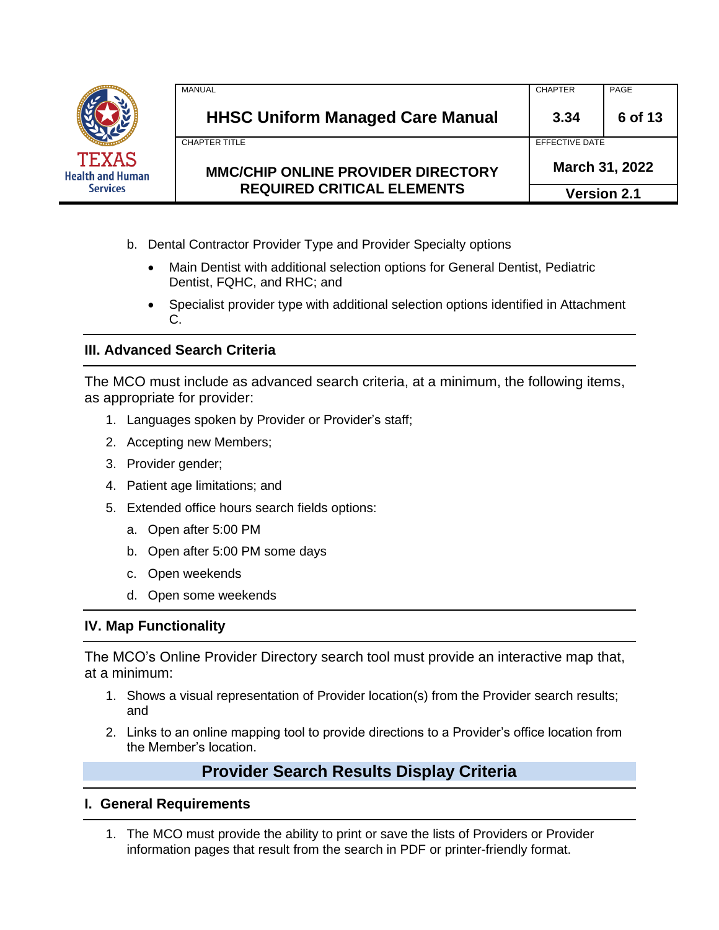|                                         | <b>MANUAL</b>                             | <b>CHAPTER</b>        | PAGE               |
|-----------------------------------------|-------------------------------------------|-----------------------|--------------------|
|                                         | <b>HHSC Uniform Managed Care Manual</b>   | 3.34                  | 6 of 13            |
|                                         | <b>CHAPTER TITLE</b>                      | <b>FFFFCTIVE DATE</b> |                    |
| <b>TEXAS</b><br><b>Health and Human</b> | <b>MMC/CHIP ONLINE PROVIDER DIRECTORY</b> |                       | March 31, 2022     |
| <b>Services</b>                         | <b>REQUIRED CRITICAL ELEMENTS</b>         |                       | <b>Version 2.1</b> |

- b. Dental Contractor Provider Type and Provider Specialty options
	- Main Dentist with additional selection options for General Dentist, Pediatric Dentist, FQHC, and RHC; and
	- Specialist provider type with additional selection options identified in Attachment C.

### **III. Advanced Search Criteria**

The MCO must include as advanced search criteria, at a minimum, the following items, as appropriate for provider:

- 1. Languages spoken by Provider or Provider's staff;
- 2. Accepting new Members;
- 3. Provider gender;
- 4. Patient age limitations; and
- 5. Extended office hours search fields options:
	- a. Open after 5:00 PM
	- b. Open after 5:00 PM some days
	- c. Open weekends
	- d. Open some weekends

#### **IV. Map Functionality**

The MCO's Online Provider Directory search tool must provide an interactive map that, at a minimum:

- 1. Shows a visual representation of Provider location(s) from the Provider search results; and
- 2. Links to an online mapping tool to provide directions to a Provider's office location from the Member's location.

# **Provider Search Results Display Criteria**

#### **I. General Requirements**

1. The MCO must provide the ability to print or save the lists of Providers or Provider information pages that result from the search in PDF or printer-friendly format.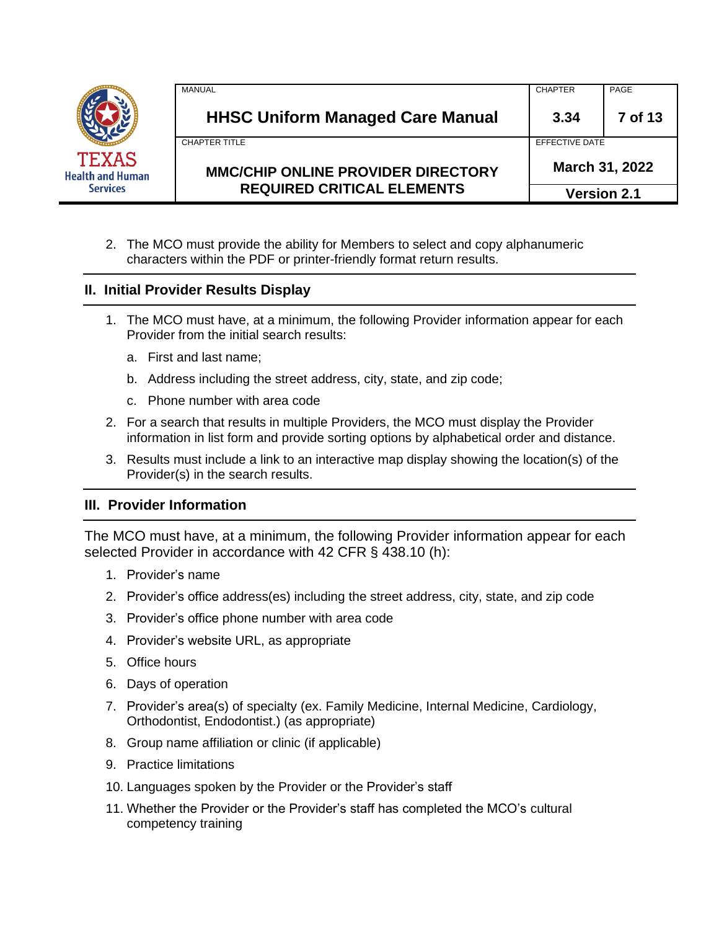| TEXAS<br>Health and Human<br><b>Services</b> |  |
|----------------------------------------------|--|
|                                              |  |

| <b>REQUIRED CRITICAL ELEMENTS</b>         | <b>Version 2.1</b> |                |
|-------------------------------------------|--------------------|----------------|
| <b>MMC/CHIP ONLINE PROVIDER DIRECTORY</b> | March 31, 2022     |                |
| CHAPTER TITLE                             | FFFFCTIVE DATE     |                |
| <b>HHSC Uniform Managed Care Manual</b>   | 3.34               | <b>7 of 13</b> |
| MANUAL                                    | <b>CHAPTER</b>     | PAGE           |

2. The MCO must provide the ability for Members to select and copy alphanumeric characters within the PDF or printer-friendly format return results.

### **II. Initial Provider Results Display**

- 1. The MCO must have, at a minimum, the following Provider information appear for each Provider from the initial search results:
	- a. First and last name;
	- b. Address including the street address, city, state, and zip code;
	- c. Phone number with area code
- 2. For a search that results in multiple Providers, the MCO must display the Provider information in list form and provide sorting options by alphabetical order and distance.
- 3. Results must include a link to an interactive map display showing the location(s) of the Provider(s) in the search results.

### **III. Provider Information**

The MCO must have, at a minimum, the following Provider information appear for each selected Provider in accordance with 42 CFR § 438.10 (h):

- 1. Provider's name
- 2. Provider's office address(es) including the street address, city, state, and zip code
- 3. Provider's office phone number with area code
- 4. Provider's website URL, as appropriate
- 5. Office hours
- 6. Days of operation
- 7. Provider's area(s) of specialty (ex. Family Medicine, Internal Medicine, Cardiology, Orthodontist, Endodontist.) (as appropriate)
- 8. Group name affiliation or clinic (if applicable)
- 9. Practice limitations
- 10. Languages spoken by the Provider or the Provider's staff
- 11. Whether the Provider or the Provider's staff has completed the MCO's cultural competency training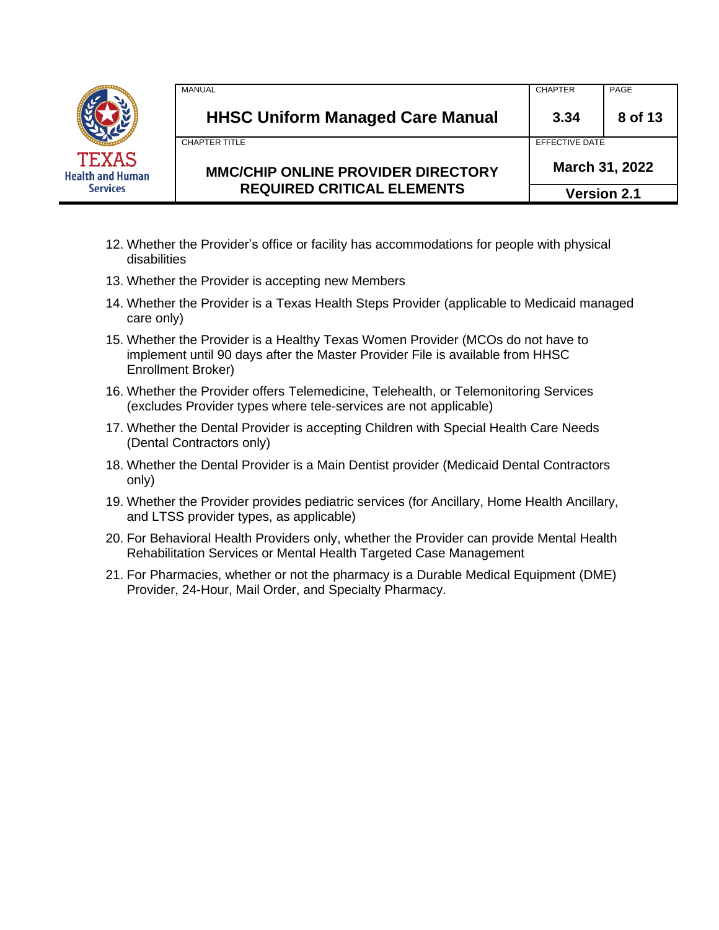|                                         | MANUAL                                    | <b>CHAPTER</b> | PAGE               |
|-----------------------------------------|-------------------------------------------|----------------|--------------------|
|                                         | <b>HHSC Uniform Managed Care Manual</b>   | 3.34           | 8 of 13            |
|                                         | CHAPTER TITLE                             | EFFECTIVE DATE |                    |
| <b>TEXAS</b><br><b>Health and Human</b> | <b>MMC/CHIP ONLINE PROVIDER DIRECTORY</b> | March 31, 2022 |                    |
| <b>Services</b>                         | <b>REQUIRED CRITICAL ELEMENTS</b>         |                | <b>Version 2.1</b> |

- 12. Whether the Provider's office or facility has accommodations for people with physical disabilities
- 13. Whether the Provider is accepting new Members
- 14. Whether the Provider is a Texas Health Steps Provider (applicable to Medicaid managed care only)
- 15. Whether the Provider is a Healthy Texas Women Provider (MCOs do not have to implement until 90 days after the Master Provider File is available from HHSC Enrollment Broker)
- 16. Whether the Provider offers Telemedicine, Telehealth, or Telemonitoring Services (excludes Provider types where tele-services are not applicable)
- 17. Whether the Dental Provider is accepting Children with Special Health Care Needs (Dental Contractors only)
- 18. Whether the Dental Provider is a Main Dentist provider (Medicaid Dental Contractors only)
- 19. Whether the Provider provides pediatric services (for Ancillary, Home Health Ancillary, and LTSS provider types, as applicable)
- 20. For Behavioral Health Providers only, whether the Provider can provide Mental Health Rehabilitation Services or Mental Health Targeted Case Management
- 21. For Pharmacies, whether or not the pharmacy is a Durable Medical Equipment (DME) Provider, 24-Hour, Mail Order, and Specialty Pharmacy.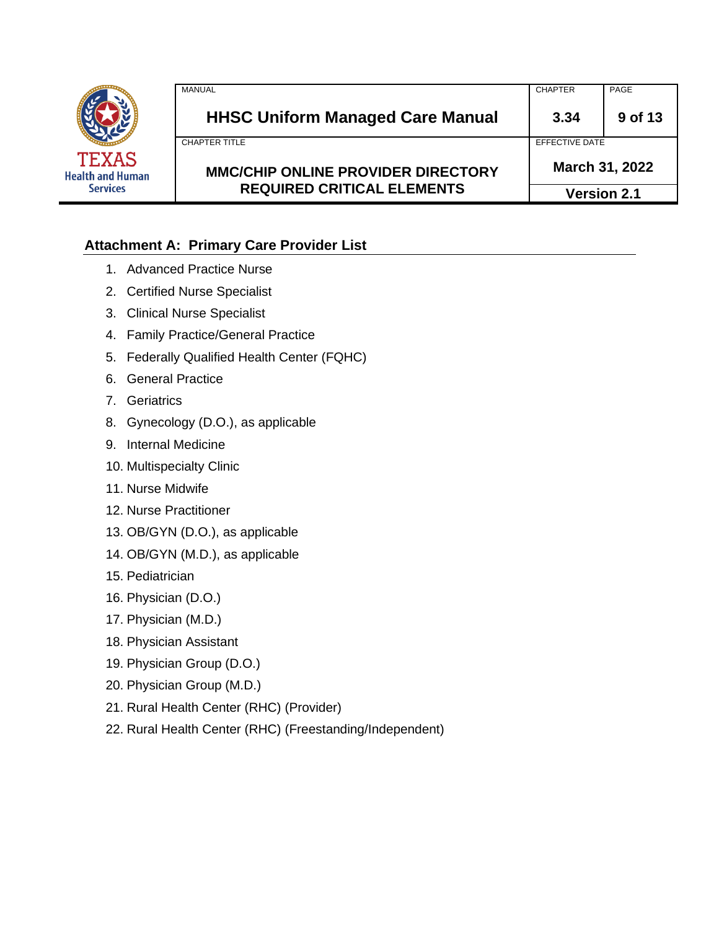

| ıan | <b>MMC/CHIP ONLINE PROVIDER DIRECTORY</b><br><b>REQUIRED CRITICAL ELEMENTS</b> | March 31, 2022<br><b>Version 2.1</b> |         |
|-----|--------------------------------------------------------------------------------|--------------------------------------|---------|
|     | CHAPTER TITLE                                                                  | EFFECTIVE DATE                       |         |
|     | <b>HHSC Uniform Managed Care Manual</b>                                        | 3.34                                 | 9 of 13 |
|     | MANUAL                                                                         | <b>CHAPTER</b>                       | PAGE    |

# **Attachment A: Primary Care Provider List**

- 1. Advanced Practice Nurse
- 2. Certified Nurse Specialist
- 3. Clinical Nurse Specialist
- 4. Family Practice/General Practice
- 5. Federally Qualified Health Center (FQHC)
- 6. General Practice
- 7. Geriatrics
- 8. Gynecology (D.O.), as applicable
- 9. Internal Medicine
- 10. Multispecialty Clinic
- 11. Nurse Midwife
- 12. Nurse Practitioner
- 13. OB/GYN (D.O.), as applicable
- 14. OB/GYN (M.D.), as applicable
- 15. Pediatrician
- 16. Physician (D.O.)
- 17. Physician (M.D.)
- 18. Physician Assistant
- 19. Physician Group (D.O.)
- 20. Physician Group (M.D.)
- 21. Rural Health Center (RHC) (Provider)
- 22. Rural Health Center (RHC) (Freestanding/Independent)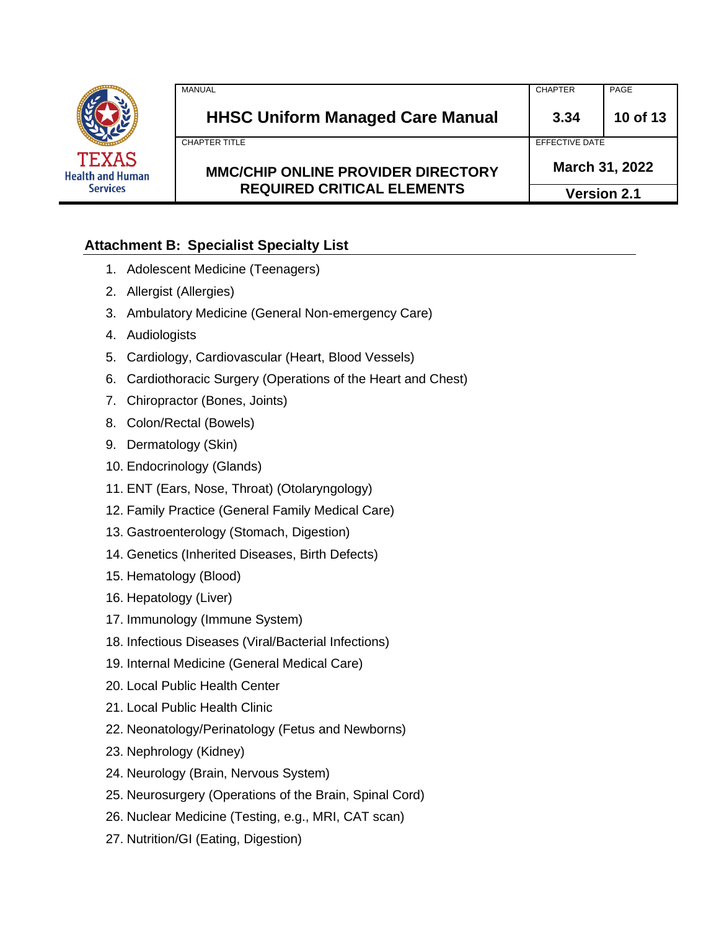

|    | <b>MANUAL</b>                             | <b>CHAPTER</b>     | PAGE     |
|----|-------------------------------------------|--------------------|----------|
|    | <b>HHSC Uniform Managed Care Manual</b>   | 3.34               | 10 of 13 |
|    | CHAPTER TITLE                             | EFFECTIVE DATE     |          |
| an | <b>MMC/CHIP ONLINE PROVIDER DIRECTORY</b> | March 31, 2022     |          |
|    | <b>REQUIRED CRITICAL ELEMENTS</b>         | <b>Version 2.1</b> |          |

## **Attachment B: Specialist Specialty List**

- 1. Adolescent Medicine (Teenagers)
- 2. Allergist (Allergies)
- 3. Ambulatory Medicine (General Non-emergency Care)
- 4. Audiologists
- 5. Cardiology, Cardiovascular (Heart, Blood Vessels)
- 6. Cardiothoracic Surgery (Operations of the Heart and Chest)
- 7. Chiropractor (Bones, Joints)
- 8. Colon/Rectal (Bowels)
- 9. Dermatology (Skin)
- 10. Endocrinology (Glands)
- 11. ENT (Ears, Nose, Throat) (Otolaryngology)
- 12. Family Practice (General Family Medical Care)
- 13. Gastroenterology (Stomach, Digestion)
- 14. Genetics (Inherited Diseases, Birth Defects)
- 15. Hematology (Blood)
- 16. Hepatology (Liver)
- 17. Immunology (Immune System)
- 18. Infectious Diseases (Viral/Bacterial Infections)
- 19. Internal Medicine (General Medical Care)
- 20. Local Public Health Center
- 21. Local Public Health Clinic
- 22. Neonatology/Perinatology (Fetus and Newborns)
- 23. Nephrology (Kidney)
- 24. Neurology (Brain, Nervous System)
- 25. Neurosurgery (Operations of the Brain, Spinal Cord)
- 26. Nuclear Medicine (Testing, e.g., MRI, CAT scan)
- 27. Nutrition/GI (Eating, Digestion)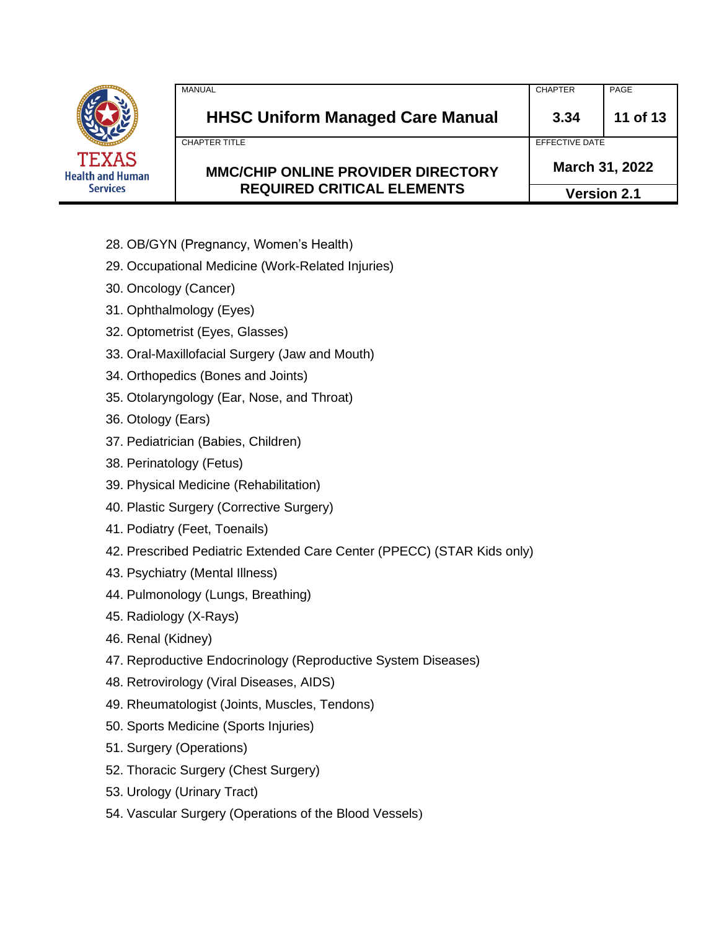

| MANUAL                                    | <b>CHAPTER</b>     | PAGE                             |  |
|-------------------------------------------|--------------------|----------------------------------|--|
| <b>HHSC Uniform Managed Care Manual</b>   | 3.34               | 11 of 13                         |  |
| CHAPTER TITLE                             |                    | EFFECTIVE DATE<br>March 31, 2022 |  |
| <b>MMC/CHIP ONLINE PROVIDER DIRECTORY</b> |                    |                                  |  |
| <b>REQUIRED CRITICAL ELEMENTS</b>         | <b>Version 2.1</b> |                                  |  |

- 28. OB/GYN (Pregnancy, Women's Health)
- 29. Occupational Medicine (Work-Related Injuries)
- 30. Oncology (Cancer)
- 31. Ophthalmology (Eyes)
- 32. Optometrist (Eyes, Glasses)
- 33. Oral-Maxillofacial Surgery (Jaw and Mouth)
- 34. Orthopedics (Bones and Joints)
- 35. Otolaryngology (Ear, Nose, and Throat)
- 36. Otology (Ears)
- 37. Pediatrician (Babies, Children)
- 38. Perinatology (Fetus)
- 39. Physical Medicine (Rehabilitation)
- 40. Plastic Surgery (Corrective Surgery)
- 41. Podiatry (Feet, Toenails)
- 42. Prescribed Pediatric Extended Care Center (PPECC) (STAR Kids only)
- 43. Psychiatry (Mental Illness)
- 44. Pulmonology (Lungs, Breathing)
- 45. Radiology (X-Rays)
- 46. Renal (Kidney)
- 47. Reproductive Endocrinology (Reproductive System Diseases)
- 48. Retrovirology (Viral Diseases, AIDS)
- 49. Rheumatologist (Joints, Muscles, Tendons)
- 50. Sports Medicine (Sports Injuries)
- 51. Surgery (Operations)
- 52. Thoracic Surgery (Chest Surgery)
- 53. Urology (Urinary Tract)
- 54. Vascular Surgery (Operations of the Blood Vessels)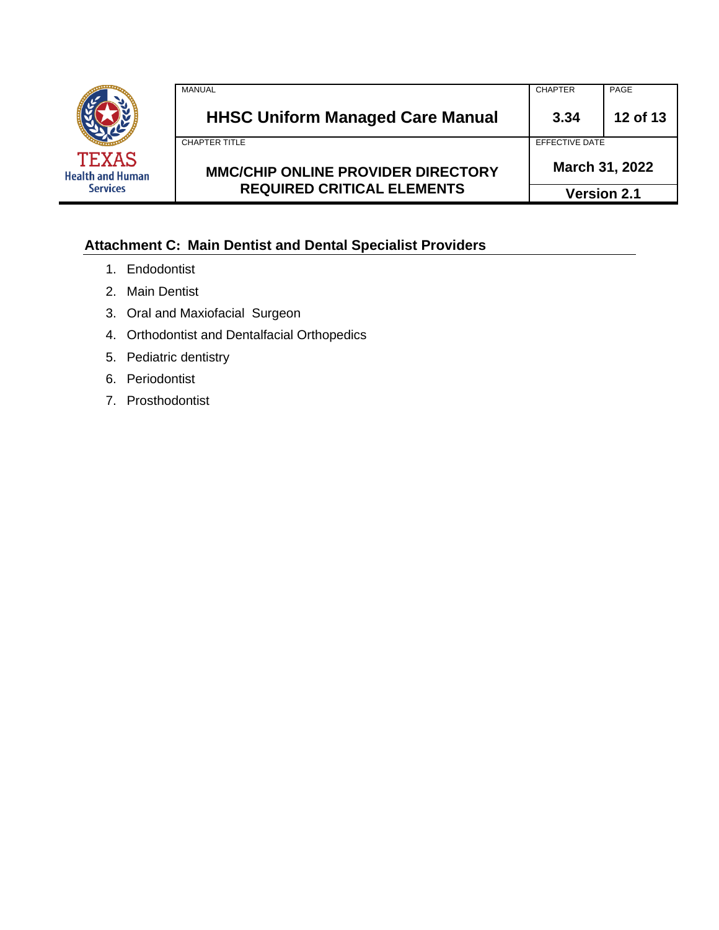

| <b>REQUIRED CRITICAL ELEMENTS</b>         | March 31, 2022<br><b>Version 2.1</b> |          |
|-------------------------------------------|--------------------------------------|----------|
| <b>MMC/CHIP ONLINE PROVIDER DIRECTORY</b> |                                      |          |
| <b>CHAPTER TITLE</b>                      | FFFFCTIVE DATE                       |          |
| <b>HHSC Uniform Managed Care Manual</b>   | 3.34                                 | 12 of 13 |
| MANUAL                                    | <b>CHAPTER</b>                       | PAGE     |

# **Attachment C: Main Dentist and Dental Specialist Providers**

- 1. Endodontist
- 2. Main Dentist
- 3. Oral and Maxiofacial Surgeon
- 4. Orthodontist and Dentalfacial Orthopedics
- 5. Pediatric dentistry
- 6. Periodontist
- 7. Prosthodontist